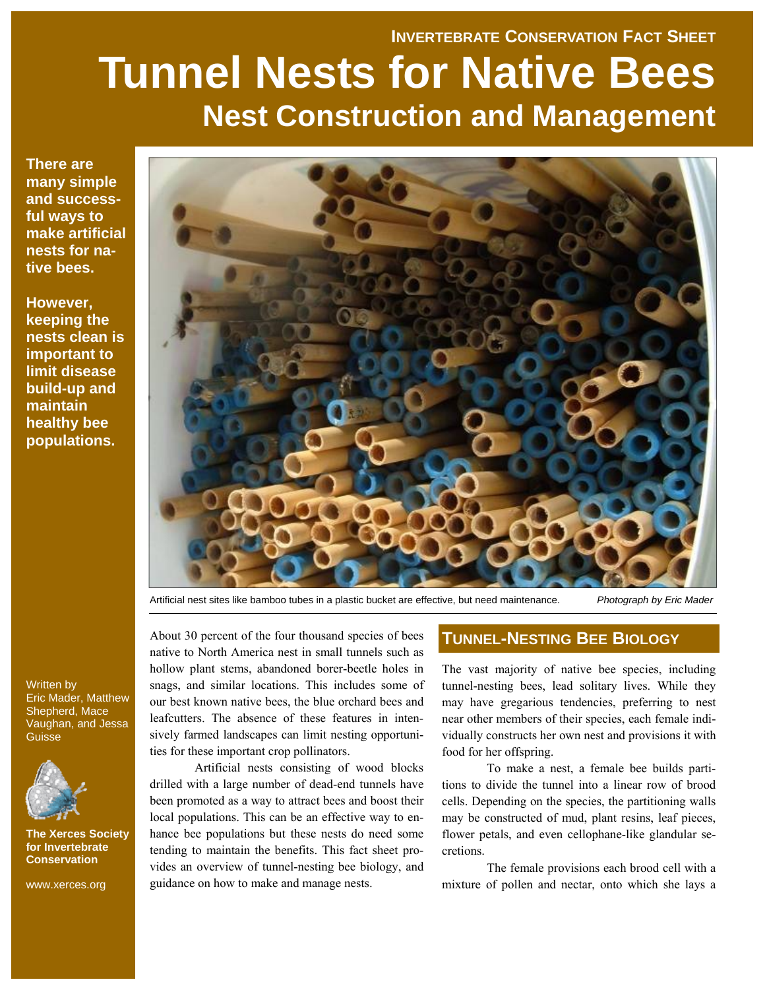# **INVERTEBRATE CONSERVATION FACT SHEET Tunnel Nests for Native Bees Nest Construction and Management**

**There are many simple and successful ways to make artificial nests for native bees.** 

**However, keeping the nests clean is important to limit disease build-up and maintain healthy bee populations.** 



Artificial nest sites like bamboo tubes in a plastic bucket are effective, but need maintenance. *Photograph by Eric Mader* 

About 30 percent of the four thousand species of bees native to North America nest in small tunnels such as hollow plant stems, abandoned borer-beetle holes in snags, and similar locations. This includes some of our best known native bees, the blue orchard bees and leafcutters. The absence of these features in intensively farmed landscapes can limit nesting opportunities for these important crop pollinators.

 Artificial nests consisting of wood blocks drilled with a large number of dead-end tunnels have been promoted as a way to attract bees and boost their local populations. This can be an effective way to enhance bee populations but these nests do need some tending to maintain the benefits. This fact sheet provides an overview of tunnel-nesting bee biology, and guidance on how to make and manage nests.

## **TUNNEL-NESTING BEE BIOLOGY**

The vast majority of native bee species, including tunnel-nesting bees, lead solitary lives. While they may have gregarious tendencies, preferring to nest near other members of their species, each female individually constructs her own nest and provisions it with food for her offspring.

To make a nest, a female bee builds partitions to divide the tunnel into a linear row of brood cells. Depending on the species, the partitioning walls may be constructed of mud, plant resins, leaf pieces, flower petals, and even cellophane-like glandular secretions.

The female provisions each brood cell with a mixture of pollen and nectar, onto which she lays a

Written by Eric Mader, Matthew Shepherd, Mace Vaughan, and Jessa **Guisse** 



**The Xerces Society for Invertebrate Conservation** 

www.xerces.org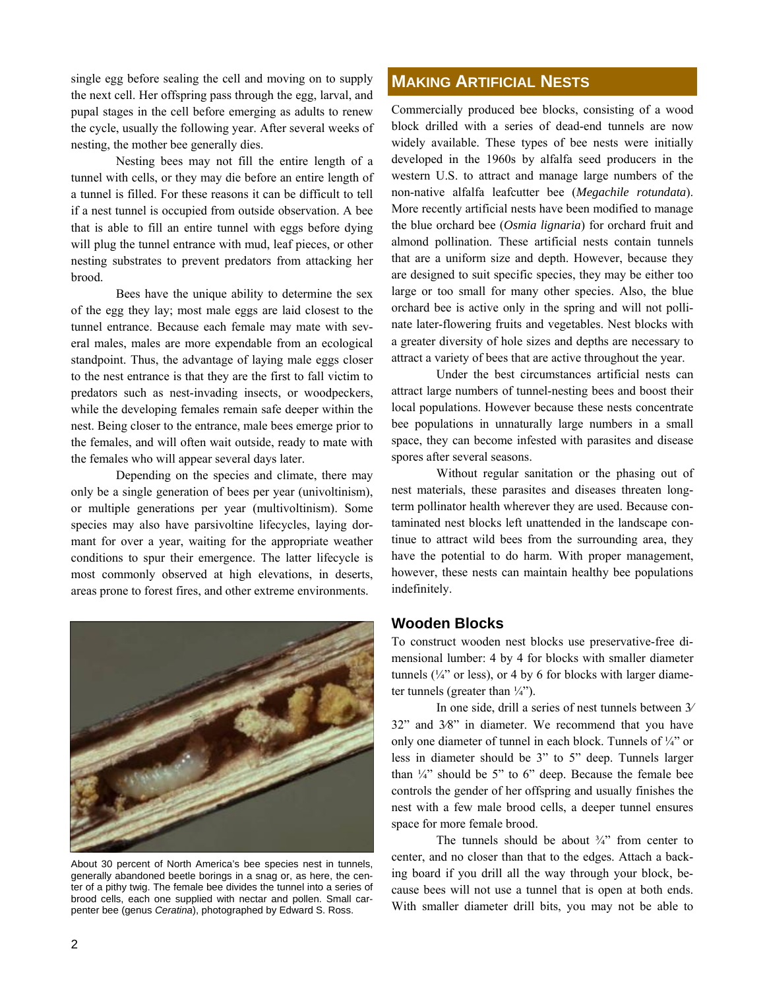single egg before sealing the cell and moving on to supply the next cell. Her offspring pass through the egg, larval, and pupal stages in the cell before emerging as adults to renew the cycle, usually the following year. After several weeks of nesting, the mother bee generally dies.

Nesting bees may not fill the entire length of a tunnel with cells, or they may die before an entire length of a tunnel is filled. For these reasons it can be difficult to tell if a nest tunnel is occupied from outside observation. A bee that is able to fill an entire tunnel with eggs before dying will plug the tunnel entrance with mud, leaf pieces, or other nesting substrates to prevent predators from attacking her brood.

Bees have the unique ability to determine the sex of the egg they lay; most male eggs are laid closest to the tunnel entrance. Because each female may mate with several males, males are more expendable from an ecological standpoint. Thus, the advantage of laying male eggs closer to the nest entrance is that they are the first to fall victim to predators such as nest-invading insects, or woodpeckers, while the developing females remain safe deeper within the nest. Being closer to the entrance, male bees emerge prior to the females, and will often wait outside, ready to mate with the females who will appear several days later.

Depending on the species and climate, there may only be a single generation of bees per year (univoltinism), or multiple generations per year (multivoltinism). Some species may also have parsivoltine lifecycles, laying dormant for over a year, waiting for the appropriate weather conditions to spur their emergence. The latter lifecycle is most commonly observed at high elevations, in deserts, areas prone to forest fires, and other extreme environments.



About 30 percent of North America's bee species nest in tunnels, generally abandoned beetle borings in a snag or, as here, the center of a pithy twig. The female bee divides the tunnel into a series of brood cells, each one supplied with nectar and pollen. Small carpenter bee (genus *Ceratina*), photographed by Edward S. Ross.

## **MAKING ARTIFICIAL NESTS**

Commercially produced bee blocks, consisting of a wood block drilled with a series of dead-end tunnels are now widely available. These types of bee nests were initially developed in the 1960s by alfalfa seed producers in the western U.S. to attract and manage large numbers of the non-native alfalfa leafcutter bee (*Megachile rotundata*). More recently artificial nests have been modified to manage the blue orchard bee (*Osmia lignaria*) for orchard fruit and almond pollination. These artificial nests contain tunnels that are a uniform size and depth. However, because they are designed to suit specific species, they may be either too large or too small for many other species. Also, the blue orchard bee is active only in the spring and will not pollinate later-flowering fruits and vegetables. Nest blocks with a greater diversity of hole sizes and depths are necessary to attract a variety of bees that are active throughout the year.

Under the best circumstances artificial nests can attract large numbers of tunnel-nesting bees and boost their local populations. However because these nests concentrate bee populations in unnaturally large numbers in a small space, they can become infested with parasites and disease spores after several seasons.

Without regular sanitation or the phasing out of nest materials, these parasites and diseases threaten longterm pollinator health wherever they are used. Because contaminated nest blocks left unattended in the landscape continue to attract wild bees from the surrounding area, they have the potential to do harm. With proper management, however, these nests can maintain healthy bee populations indefinitely.

## **Wooden Blocks**

To construct wooden nest blocks use preservative-free dimensional lumber: 4 by 4 for blocks with smaller diameter tunnels  $(\frac{1}{4})$  or less), or 4 by 6 for blocks with larger diameter tunnels (greater than  $\frac{1}{4}$ ").

In one side, drill a series of nest tunnels between 3⁄ 32" and 3⁄8" in diameter. We recommend that you have only one diameter of tunnel in each block. Tunnels of ¼" or less in diameter should be 3" to 5" deep. Tunnels larger than  $\frac{1}{4}$  should be 5" to 6" deep. Because the female bee controls the gender of her offspring and usually finishes the nest with a few male brood cells, a deeper tunnel ensures space for more female brood.

The tunnels should be about  $\frac{3}{4}$  from center to center, and no closer than that to the edges. Attach a backing board if you drill all the way through your block, because bees will not use a tunnel that is open at both ends. With smaller diameter drill bits, you may not be able to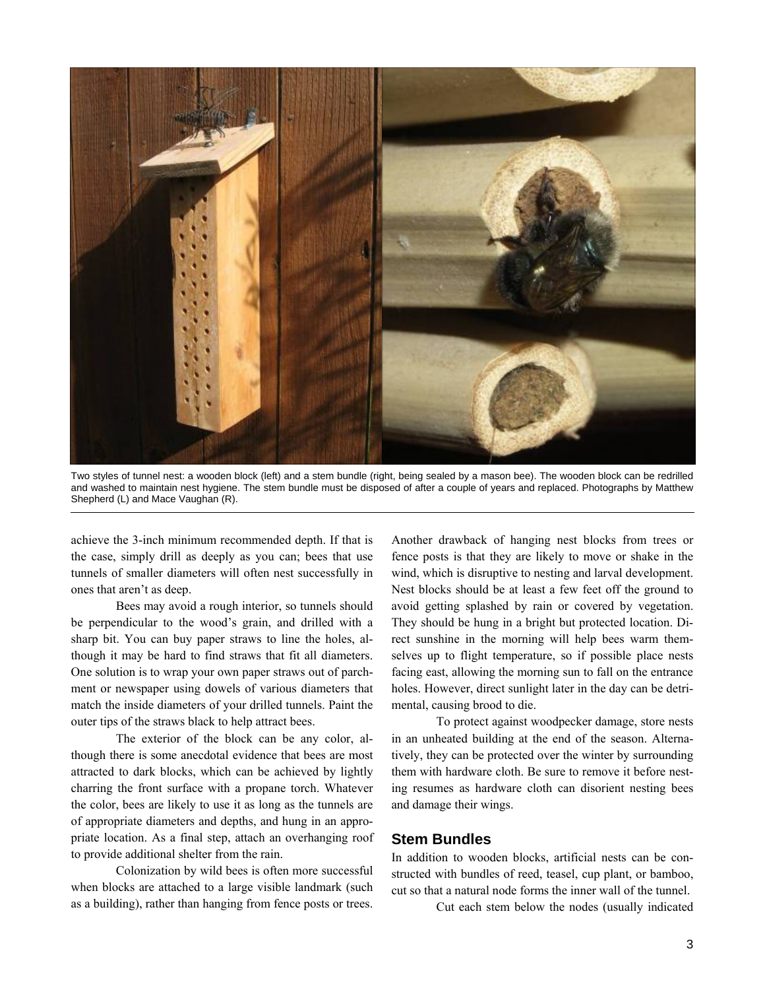

Two styles of tunnel nest: a wooden block (left) and a stem bundle (right, being sealed by a mason bee). The wooden block can be redrilled and washed to maintain nest hygiene. The stem bundle must be disposed of after a couple of years and replaced. Photographs by Matthew Shepherd (L) and Mace Vaughan (R).

achieve the 3-inch minimum recommended depth. If that is the case, simply drill as deeply as you can; bees that use tunnels of smaller diameters will often nest successfully in ones that aren't as deep.

Bees may avoid a rough interior, so tunnels should be perpendicular to the wood's grain, and drilled with a sharp bit. You can buy paper straws to line the holes, although it may be hard to find straws that fit all diameters. One solution is to wrap your own paper straws out of parchment or newspaper using dowels of various diameters that match the inside diameters of your drilled tunnels. Paint the outer tips of the straws black to help attract bees.

The exterior of the block can be any color, although there is some anecdotal evidence that bees are most attracted to dark blocks, which can be achieved by lightly charring the front surface with a propane torch. Whatever the color, bees are likely to use it as long as the tunnels are of appropriate diameters and depths, and hung in an appropriate location. As a final step, attach an overhanging roof to provide additional shelter from the rain.

Colonization by wild bees is often more successful when blocks are attached to a large visible landmark (such as a building), rather than hanging from fence posts or trees.

Another drawback of hanging nest blocks from trees or fence posts is that they are likely to move or shake in the wind, which is disruptive to nesting and larval development. Nest blocks should be at least a few feet off the ground to avoid getting splashed by rain or covered by vegetation. They should be hung in a bright but protected location. Direct sunshine in the morning will help bees warm themselves up to flight temperature, so if possible place nests facing east, allowing the morning sun to fall on the entrance holes. However, direct sunlight later in the day can be detrimental, causing brood to die.

To protect against woodpecker damage, store nests in an unheated building at the end of the season. Alternatively, they can be protected over the winter by surrounding them with hardware cloth. Be sure to remove it before nesting resumes as hardware cloth can disorient nesting bees and damage their wings.

## **Stem Bundles**

In addition to wooden blocks, artificial nests can be constructed with bundles of reed, teasel, cup plant, or bamboo, cut so that a natural node forms the inner wall of the tunnel.

Cut each stem below the nodes (usually indicated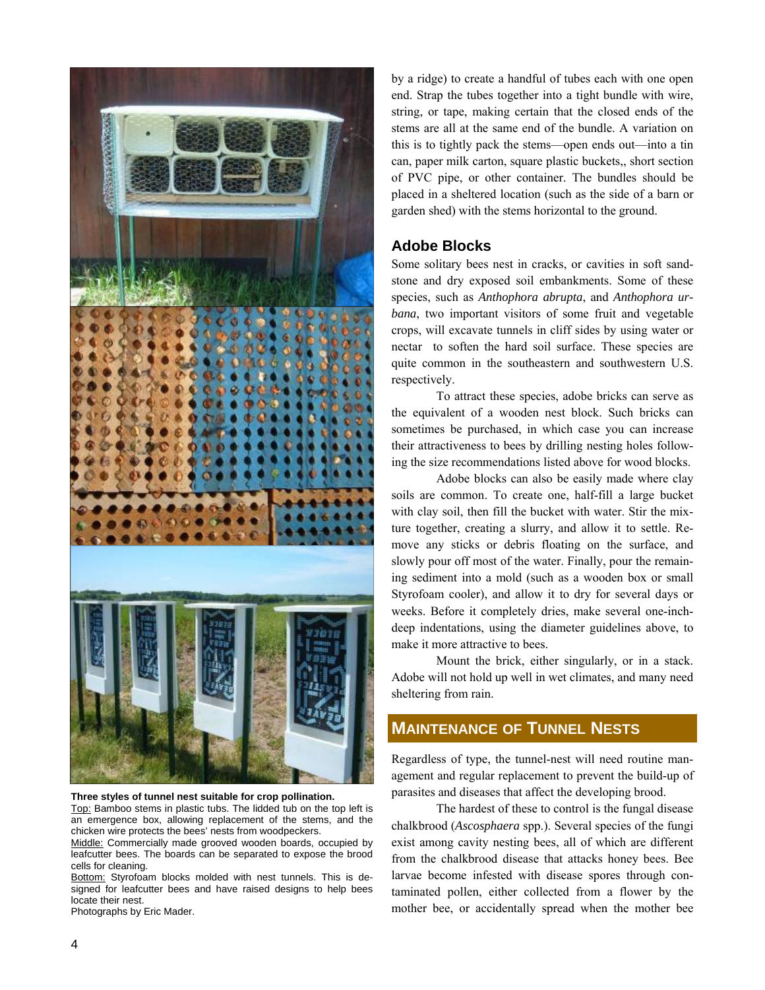

#### **Three styles of tunnel nest suitable for crop pollination.**

Top: Bamboo stems in plastic tubs. The lidded tub on the top left is an emergence box, allowing replacement of the stems, and the chicken wire protects the bees' nests from woodpeckers.

Middle: Commercially made grooved wooden boards, occupied by leafcutter bees. The boards can be separated to expose the brood cells for cleaning.

Bottom: Styrofoam blocks molded with nest tunnels. This is designed for leafcutter bees and have raised designs to help bees locate their nest.

Photographs by Eric Mader.

by a ridge) to create a handful of tubes each with one open end. Strap the tubes together into a tight bundle with wire, string, or tape, making certain that the closed ends of the stems are all at the same end of the bundle. A variation on this is to tightly pack the stems—open ends out—into a tin can, paper milk carton, square plastic buckets,, short section of PVC pipe, or other container. The bundles should be placed in a sheltered location (such as the side of a barn or garden shed) with the stems horizontal to the ground.

## **Adobe Blocks**

Some solitary bees nest in cracks, or cavities in soft sandstone and dry exposed soil embankments. Some of these species, such as *Anthophora abrupta*, and *Anthophora urbana*, two important visitors of some fruit and vegetable crops, will excavate tunnels in cliff sides by using water or nectar to soften the hard soil surface. These species are quite common in the southeastern and southwestern U.S. respectively.

 To attract these species, adobe bricks can serve as the equivalent of a wooden nest block. Such bricks can sometimes be purchased, in which case you can increase their attractiveness to bees by drilling nesting holes following the size recommendations listed above for wood blocks.

Adobe blocks can also be easily made where clay soils are common. To create one, half-fill a large bucket with clay soil, then fill the bucket with water. Stir the mixture together, creating a slurry, and allow it to settle. Remove any sticks or debris floating on the surface, and slowly pour off most of the water. Finally, pour the remaining sediment into a mold (such as a wooden box or small Styrofoam cooler), and allow it to dry for several days or weeks. Before it completely dries, make several one-inchdeep indentations, using the diameter guidelines above, to make it more attractive to bees.

Mount the brick, either singularly, or in a stack. Adobe will not hold up well in wet climates, and many need sheltering from rain.

## **MAINTENANCE OF TUNNEL NESTS**

Regardless of type, the tunnel-nest will need routine management and regular replacement to prevent the build-up of parasites and diseases that affect the developing brood.

 The hardest of these to control is the fungal disease chalkbrood (*Ascosphaera* spp.). Several species of the fungi exist among cavity nesting bees, all of which are different from the chalkbrood disease that attacks honey bees. Bee larvae become infested with disease spores through contaminated pollen, either collected from a flower by the mother bee, or accidentally spread when the mother bee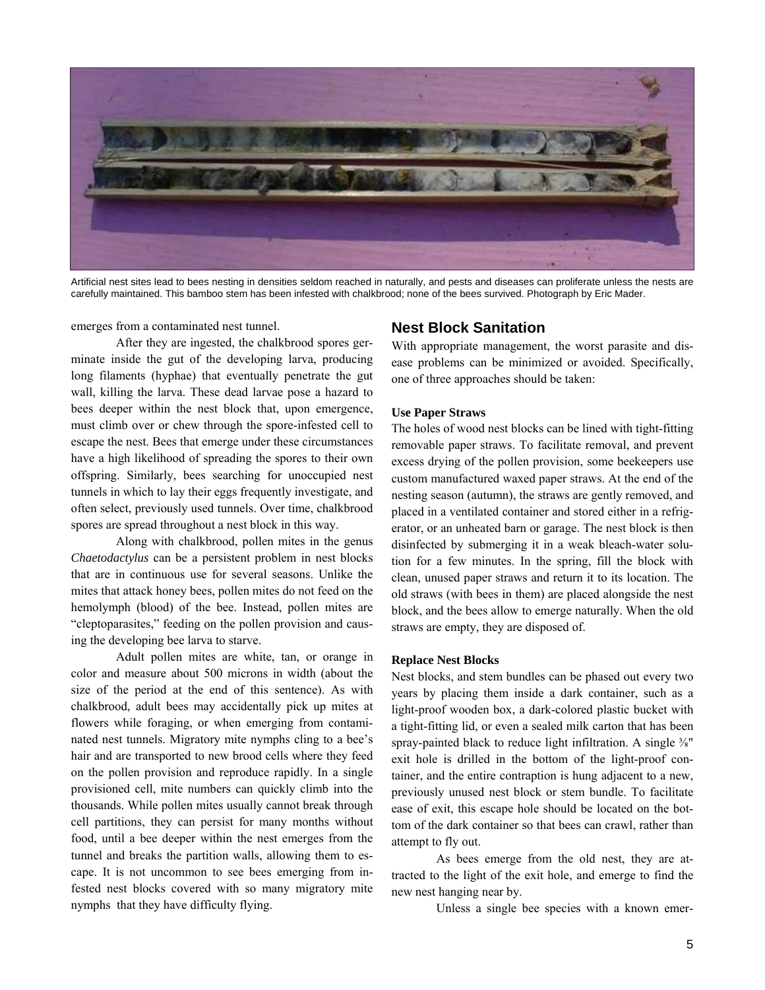

Artificial nest sites lead to bees nesting in densities seldom reached in naturally, and pests and diseases can proliferate unless the nests are carefully maintained. This bamboo stem has been infested with chalkbrood; none of the bees survived. Photograph by Eric Mader.

emerges from a contaminated nest tunnel.

 After they are ingested, the chalkbrood spores germinate inside the gut of the developing larva, producing long filaments (hyphae) that eventually penetrate the gut wall, killing the larva. These dead larvae pose a hazard to bees deeper within the nest block that, upon emergence, must climb over or chew through the spore-infested cell to escape the nest. Bees that emerge under these circumstances have a high likelihood of spreading the spores to their own offspring. Similarly, bees searching for unoccupied nest tunnels in which to lay their eggs frequently investigate, and often select, previously used tunnels. Over time, chalkbrood spores are spread throughout a nest block in this way.

 Along with chalkbrood, pollen mites in the genus *Chaetodactylus* can be a persistent problem in nest blocks that are in continuous use for several seasons. Unlike the mites that attack honey bees, pollen mites do not feed on the hemolymph (blood) of the bee. Instead, pollen mites are "cleptoparasites," feeding on the pollen provision and causing the developing bee larva to starve.

 Adult pollen mites are white, tan, or orange in color and measure about 500 microns in width (about the size of the period at the end of this sentence). As with chalkbrood, adult bees may accidentally pick up mites at flowers while foraging, or when emerging from contaminated nest tunnels. Migratory mite nymphs cling to a bee's hair and are transported to new brood cells where they feed on the pollen provision and reproduce rapidly. In a single provisioned cell, mite numbers can quickly climb into the thousands. While pollen mites usually cannot break through cell partitions, they can persist for many months without food, until a bee deeper within the nest emerges from the tunnel and breaks the partition walls, allowing them to escape. It is not uncommon to see bees emerging from infested nest blocks covered with so many migratory mite nymphs that they have difficulty flying.

## **Nest Block Sanitation**

With appropriate management, the worst parasite and disease problems can be minimized or avoided. Specifically, one of three approaches should be taken:

#### **Use Paper Straws**

The holes of wood nest blocks can be lined with tight-fitting removable paper straws. To facilitate removal, and prevent excess drying of the pollen provision, some beekeepers use custom manufactured waxed paper straws. At the end of the nesting season (autumn), the straws are gently removed, and placed in a ventilated container and stored either in a refrigerator, or an unheated barn or garage. The nest block is then disinfected by submerging it in a weak bleach-water solution for a few minutes. In the spring, fill the block with clean, unused paper straws and return it to its location. The old straws (with bees in them) are placed alongside the nest block, and the bees allow to emerge naturally. When the old straws are empty, they are disposed of.

#### **Replace Nest Blocks**

Nest blocks, and stem bundles can be phased out every two years by placing them inside a dark container, such as a light-proof wooden box, a dark-colored plastic bucket with a tight-fitting lid, or even a sealed milk carton that has been spray-painted black to reduce light infiltration. A single  $\frac{3}{8}$ " exit hole is drilled in the bottom of the light-proof container, and the entire contraption is hung adjacent to a new, previously unused nest block or stem bundle. To facilitate ease of exit, this escape hole should be located on the bottom of the dark container so that bees can crawl, rather than attempt to fly out.

 As bees emerge from the old nest, they are attracted to the light of the exit hole, and emerge to find the new nest hanging near by.

Unless a single bee species with a known emer-